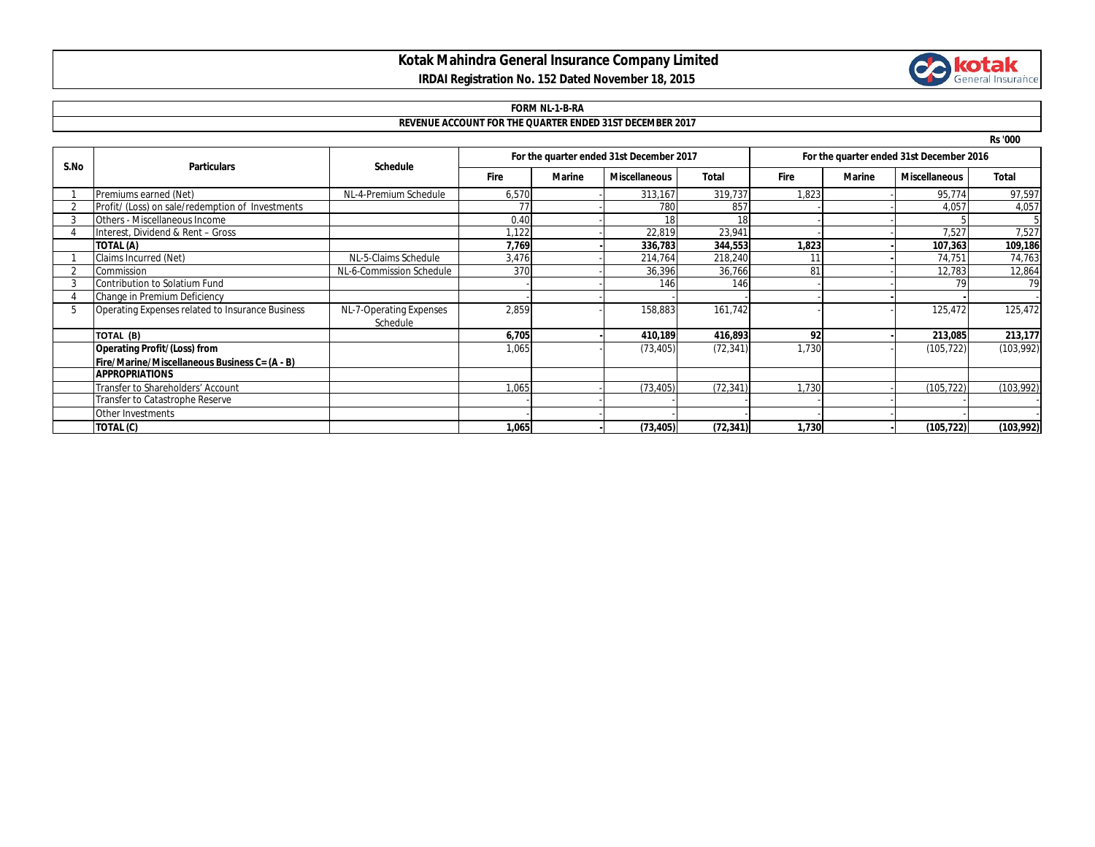# **Kotak Mahindra General Insurance Company Limited**



## **IRDAI Registration No. 152 Dated November 18, 2015**

### **FORM NL-1-B-RA**

#### **REVENUE ACCOUNT FOR THE QUARTER ENDED 31ST DECEMBER 2017**

**Rs '000**

| S.No | <b>Particulars</b>                               | <b>Schedule</b>                     | For the quarter ended 31st December 2017 |        |                      |              | For the quarter ended 31st December 2016 |        |                      |              |
|------|--------------------------------------------------|-------------------------------------|------------------------------------------|--------|----------------------|--------------|------------------------------------------|--------|----------------------|--------------|
|      |                                                  |                                     | <b>Fire</b>                              | Marine | <b>Miscellaneous</b> | <b>Total</b> | <b>Fire</b>                              | Marine | <b>Miscellaneous</b> | <b>Total</b> |
|      | Premiums earned (Net)                            | NL-4-Premium Schedule               | 6,570                                    |        | 313,167              | 319,737      | 1,823                                    |        | 95,774               | 97,597       |
|      | Profit/ (Loss) on sale/redemption of Investments |                                     |                                          |        | 780                  | 857          |                                          |        | 4,057                | 4,057        |
|      | <b>Others - Miscellaneous Income</b>             |                                     | 0.40                                     |        |                      |              |                                          |        |                      |              |
|      | Interest, Dividend & Rent - Gross                |                                     | 1,122                                    |        | 22,819               | 23,941       |                                          |        | 7,527                | 7,527        |
|      | TOTAL (A)                                        |                                     | 7,769                                    |        | 336,783              | 344,553      | 1,823                                    |        | 107,363              | 109,186      |
|      | Claims Incurred (Net)                            | NL-5-Claims Schedule                | 3,476                                    |        | 214,764              | 218,240      |                                          |        | 74,751               | 74,763       |
|      | Commission                                       | NL-6-Commission Schedule            | 370                                      |        | 36,396               | 36,766       | 81                                       |        | 12,783               | 12,864       |
|      | Contribution to Solatium Fund                    |                                     |                                          |        | 146                  | 146          |                                          |        |                      | 79           |
|      | Change in Premium Deficiency                     |                                     |                                          |        |                      |              |                                          |        |                      |              |
|      | Operating Expenses related to Insurance Business | NL-7-Operating Expenses<br>Schedule | 2,859                                    |        | 158,883              | 161,742      |                                          |        | 125,472              | 125,472      |
|      | TOTAL (B)                                        |                                     | 6,705                                    |        | 410,189              | 416,893      | 92                                       |        | 213,085              | 213,177      |
|      | <b>Operating Profit/(Loss) from</b>              |                                     | 1,065                                    |        | (73, 405)            | (72, 341)    | 1,730                                    |        | (105,722)            | (103, 992)   |
|      | Fire/Marine/Miscellaneous Business C= (A - B)    |                                     |                                          |        |                      |              |                                          |        |                      |              |
|      | <b>APPROPRIATIONS</b>                            |                                     |                                          |        |                      |              |                                          |        |                      |              |
|      | Transfer to Shareholders' Account                |                                     | 1,065                                    |        | (73, 405)            | (72, 341)    | 1,730                                    |        | (105, 722)           | (103, 992)   |
|      | Transfer to Catastrophe Reserve                  |                                     |                                          |        |                      |              |                                          |        |                      |              |
|      | Other Investments                                |                                     |                                          |        |                      |              |                                          |        |                      |              |
|      | TOTAL (C)                                        |                                     | 1,065                                    |        | (73, 405)            | (72, 341)    | 1,730                                    |        | (105, 722)           | (103,992)    |